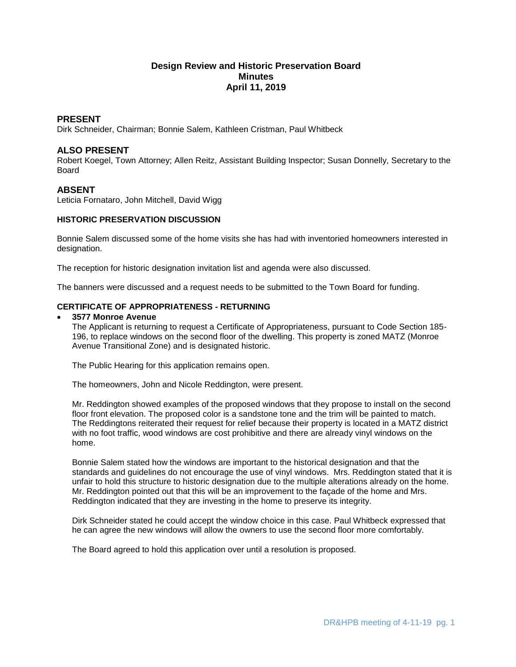# **Design Review and Historic Preservation Board Minutes April 11, 2019**

### **PRESENT**

Dirk Schneider, Chairman; Bonnie Salem, Kathleen Cristman, Paul Whitbeck

### **ALSO PRESENT**

Robert Koegel, Town Attorney; Allen Reitz, Assistant Building Inspector; Susan Donnelly, Secretary to the Board

### **ABSENT**

Leticia Fornataro, John Mitchell, David Wigg

## **HISTORIC PRESERVATION DISCUSSION**

Bonnie Salem discussed some of the home visits she has had with inventoried homeowners interested in designation.

The reception for historic designation invitation list and agenda were also discussed.

The banners were discussed and a request needs to be submitted to the Town Board for funding.

### **CERTIFICATE OF APPROPRIATENESS - RETURNING**

### **3577 Monroe Avenue**

The Applicant is returning to request a Certificate of Appropriateness, pursuant to Code Section 185- 196, to replace windows on the second floor of the dwelling. This property is zoned MATZ (Monroe Avenue Transitional Zone) and is designated historic.

The Public Hearing for this application remains open.

The homeowners, John and Nicole Reddington, were present.

Mr. Reddington showed examples of the proposed windows that they propose to install on the second floor front elevation. The proposed color is a sandstone tone and the trim will be painted to match. The Reddingtons reiterated their request for relief because their property is located in a MATZ district with no foot traffic, wood windows are cost prohibitive and there are already vinyl windows on the home.

Bonnie Salem stated how the windows are important to the historical designation and that the standards and guidelines do not encourage the use of vinyl windows. Mrs. Reddington stated that it is unfair to hold this structure to historic designation due to the multiple alterations already on the home. Mr. Reddington pointed out that this will be an improvement to the façade of the home and Mrs. Reddington indicated that they are investing in the home to preserve its integrity.

Dirk Schneider stated he could accept the window choice in this case. Paul Whitbeck expressed that he can agree the new windows will allow the owners to use the second floor more comfortably.

The Board agreed to hold this application over until a resolution is proposed.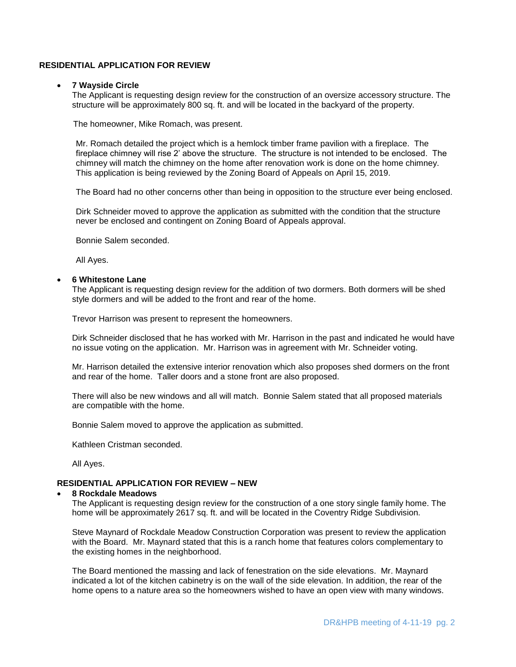### **RESIDENTIAL APPLICATION FOR REVIEW**

#### **7 Wayside Circle**

The Applicant is requesting design review for the construction of an oversize accessory structure. The structure will be approximately 800 sq. ft. and will be located in the backyard of the property.

The homeowner, Mike Romach, was present.

Mr. Romach detailed the project which is a hemlock timber frame pavilion with a fireplace. The fireplace chimney will rise 2' above the structure. The structure is not intended to be enclosed. The chimney will match the chimney on the home after renovation work is done on the home chimney. This application is being reviewed by the Zoning Board of Appeals on April 15, 2019.

The Board had no other concerns other than being in opposition to the structure ever being enclosed.

Dirk Schneider moved to approve the application as submitted with the condition that the structure never be enclosed and contingent on Zoning Board of Appeals approval.

Bonnie Salem seconded.

All Ayes.

#### **6 Whitestone Lane**

The Applicant is requesting design review for the addition of two dormers. Both dormers will be shed style dormers and will be added to the front and rear of the home.

Trevor Harrison was present to represent the homeowners.

Dirk Schneider disclosed that he has worked with Mr. Harrison in the past and indicated he would have no issue voting on the application. Mr. Harrison was in agreement with Mr. Schneider voting.

Mr. Harrison detailed the extensive interior renovation which also proposes shed dormers on the front and rear of the home. Taller doors and a stone front are also proposed.

There will also be new windows and all will match. Bonnie Salem stated that all proposed materials are compatible with the home.

Bonnie Salem moved to approve the application as submitted.

Kathleen Cristman seconded.

All Ayes.

### **RESIDENTIAL APPLICATION FOR REVIEW – NEW**

#### **8 Rockdale Meadows**

The Applicant is requesting design review for the construction of a one story single family home. The home will be approximately 2617 sq. ft. and will be located in the Coventry Ridge Subdivision.

Steve Maynard of Rockdale Meadow Construction Corporation was present to review the application with the Board. Mr. Maynard stated that this is a ranch home that features colors complementary to the existing homes in the neighborhood.

The Board mentioned the massing and lack of fenestration on the side elevations. Mr. Maynard indicated a lot of the kitchen cabinetry is on the wall of the side elevation. In addition, the rear of the home opens to a nature area so the homeowners wished to have an open view with many windows.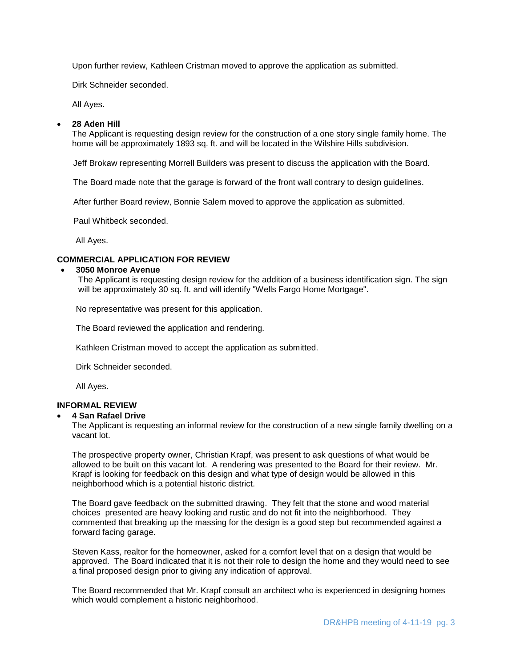Upon further review, Kathleen Cristman moved to approve the application as submitted.

Dirk Schneider seconded.

All Ayes.

### **28 Aden Hill**

The Applicant is requesting design review for the construction of a one story single family home. The home will be approximately 1893 sq. ft. and will be located in the Wilshire Hills subdivision.

Jeff Brokaw representing Morrell Builders was present to discuss the application with the Board.

The Board made note that the garage is forward of the front wall contrary to design guidelines.

After further Board review, Bonnie Salem moved to approve the application as submitted.

Paul Whitbeck seconded.

All Ayes.

## **COMMERCIAL APPLICATION FOR REVIEW**

#### **3050 Monroe Avenue**

The Applicant is requesting design review for the addition of a business identification sign. The sign will be approximately 30 sq. ft. and will identify "Wells Fargo Home Mortgage".

No representative was present for this application.

The Board reviewed the application and rendering.

Kathleen Cristman moved to accept the application as submitted.

Dirk Schneider seconded.

All Ayes.

### **INFORMAL REVIEW**

#### **4 San Rafael Drive**

The Applicant is requesting an informal review for the construction of a new single family dwelling on a vacant lot.

The prospective property owner, Christian Krapf, was present to ask questions of what would be allowed to be built on this vacant lot. A rendering was presented to the Board for their review. Mr. Krapf is looking for feedback on this design and what type of design would be allowed in this neighborhood which is a potential historic district.

The Board gave feedback on the submitted drawing. They felt that the stone and wood material choices presented are heavy looking and rustic and do not fit into the neighborhood. They commented that breaking up the massing for the design is a good step but recommended against a forward facing garage.

Steven Kass, realtor for the homeowner, asked for a comfort level that on a design that would be approved. The Board indicated that it is not their role to design the home and they would need to see a final proposed design prior to giving any indication of approval.

The Board recommended that Mr. Krapf consult an architect who is experienced in designing homes which would complement a historic neighborhood.